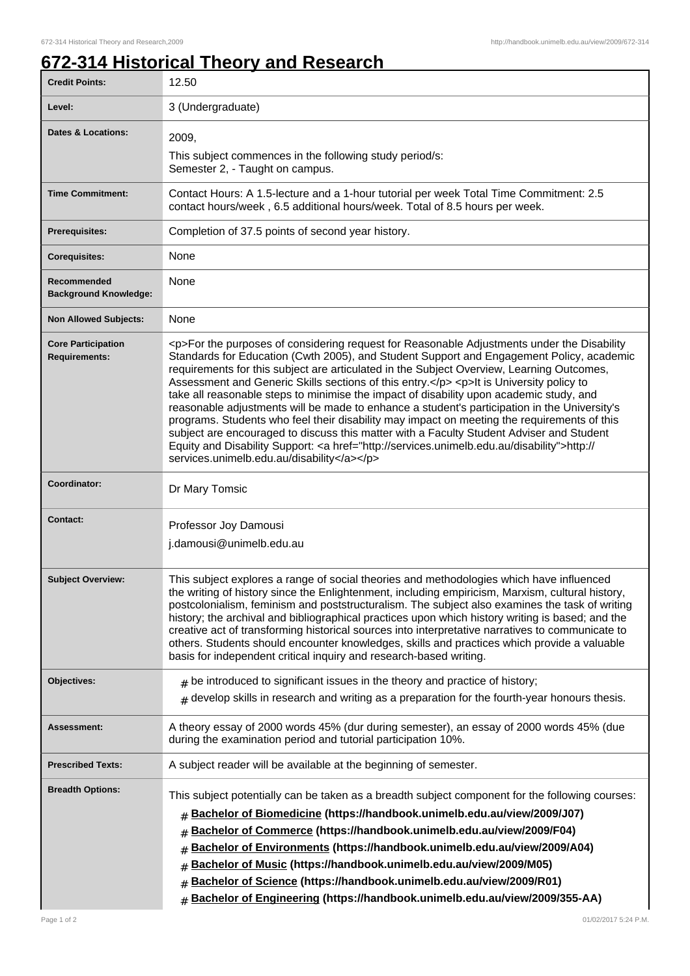## **672-314 Historical Theory and Research**

| <b>Credit Points:</b>                             | 12.50                                                                                                                                                                                                                                                                                                                                                                                                                                                                                                                                                                                                                                                                                                                                                                                                                                                                                                                        |
|---------------------------------------------------|------------------------------------------------------------------------------------------------------------------------------------------------------------------------------------------------------------------------------------------------------------------------------------------------------------------------------------------------------------------------------------------------------------------------------------------------------------------------------------------------------------------------------------------------------------------------------------------------------------------------------------------------------------------------------------------------------------------------------------------------------------------------------------------------------------------------------------------------------------------------------------------------------------------------------|
| Level:                                            | 3 (Undergraduate)                                                                                                                                                                                                                                                                                                                                                                                                                                                                                                                                                                                                                                                                                                                                                                                                                                                                                                            |
| <b>Dates &amp; Locations:</b>                     | 2009,                                                                                                                                                                                                                                                                                                                                                                                                                                                                                                                                                                                                                                                                                                                                                                                                                                                                                                                        |
|                                                   | This subject commences in the following study period/s:<br>Semester 2, - Taught on campus.                                                                                                                                                                                                                                                                                                                                                                                                                                                                                                                                                                                                                                                                                                                                                                                                                                   |
| <b>Time Commitment:</b>                           | Contact Hours: A 1.5-lecture and a 1-hour tutorial per week Total Time Commitment: 2.5<br>contact hours/week, 6.5 additional hours/week. Total of 8.5 hours per week.                                                                                                                                                                                                                                                                                                                                                                                                                                                                                                                                                                                                                                                                                                                                                        |
| <b>Prerequisites:</b>                             | Completion of 37.5 points of second year history.                                                                                                                                                                                                                                                                                                                                                                                                                                                                                                                                                                                                                                                                                                                                                                                                                                                                            |
| <b>Corequisites:</b>                              | None                                                                                                                                                                                                                                                                                                                                                                                                                                                                                                                                                                                                                                                                                                                                                                                                                                                                                                                         |
| Recommended<br><b>Background Knowledge:</b>       | None                                                                                                                                                                                                                                                                                                                                                                                                                                                                                                                                                                                                                                                                                                                                                                                                                                                                                                                         |
| <b>Non Allowed Subjects:</b>                      | None                                                                                                                                                                                                                                                                                                                                                                                                                                                                                                                                                                                                                                                                                                                                                                                                                                                                                                                         |
| <b>Core Participation</b><br><b>Requirements:</b> | <p>For the purposes of considering request for Reasonable Adjustments under the Disability<br/>Standards for Education (Cwth 2005), and Student Support and Engagement Policy, academic<br/>requirements for this subject are articulated in the Subject Overview, Learning Outcomes,<br/>Assessment and Generic Skills sections of this entry.</p> <p>lt is University policy to<br/>take all reasonable steps to minimise the impact of disability upon academic study, and<br/>reasonable adjustments will be made to enhance a student's participation in the University's<br/>programs. Students who feel their disability may impact on meeting the requirements of this<br/>subject are encouraged to discuss this matter with a Faculty Student Adviser and Student<br/>Equity and Disability Support: &lt; a href="http://services.unimelb.edu.au/disability"&gt;http://<br/>services.unimelb.edu.au/disability</p> |
| Coordinator:                                      | Dr Mary Tomsic                                                                                                                                                                                                                                                                                                                                                                                                                                                                                                                                                                                                                                                                                                                                                                                                                                                                                                               |
| <b>Contact:</b>                                   | Professor Joy Damousi<br>j.damousi@unimelb.edu.au                                                                                                                                                                                                                                                                                                                                                                                                                                                                                                                                                                                                                                                                                                                                                                                                                                                                            |
| <b>Subject Overview:</b>                          | This subject explores a range of social theories and methodologies which have influenced<br>the writing of history since the Enlightenment, including empiricism, Marxism, cultural history,<br>postcolonialism, feminism and poststructuralism. The subject also examines the task of writing<br>history; the archival and bibliographical practices upon which history writing is based; and the<br>creative act of transforming historical sources into interpretative narratives to communicate to<br>others. Students should encounter knowledges, skills and practices which provide a valuable<br>basis for independent critical inquiry and research-based writing.                                                                                                                                                                                                                                                  |
| Objectives:                                       | $#$ be introduced to significant issues in the theory and practice of history;                                                                                                                                                                                                                                                                                                                                                                                                                                                                                                                                                                                                                                                                                                                                                                                                                                               |
|                                                   | $#$ develop skills in research and writing as a preparation for the fourth-year honours thesis.                                                                                                                                                                                                                                                                                                                                                                                                                                                                                                                                                                                                                                                                                                                                                                                                                              |
| <b>Assessment:</b>                                | A theory essay of 2000 words 45% (dur during semester), an essay of 2000 words 45% (due<br>during the examination period and tutorial participation 10%.                                                                                                                                                                                                                                                                                                                                                                                                                                                                                                                                                                                                                                                                                                                                                                     |
| <b>Prescribed Texts:</b>                          | A subject reader will be available at the beginning of semester.                                                                                                                                                                                                                                                                                                                                                                                                                                                                                                                                                                                                                                                                                                                                                                                                                                                             |
| <b>Breadth Options:</b>                           | This subject potentially can be taken as a breadth subject component for the following courses:<br>Bachelor of Biomedicine (https://handbook.unimelb.edu.au/view/2009/J07)<br>#<br>Bachelor of Commerce (https://handbook.unimelb.edu.au/view/2009/F04)<br>#<br>Bachelor of Environments (https://handbook.unimelb.edu.au/view/2009/A04)<br>#<br>Bachelor of Music (https://handbook.unimelb.edu.au/view/2009/M05)<br>#<br>Bachelor of Science (https://handbook.unimelb.edu.au/view/2009/R01)<br>Bachelor of Engineering (https://handbook.unimelb.edu.au/view/2009/355-AA)<br>#                                                                                                                                                                                                                                                                                                                                            |